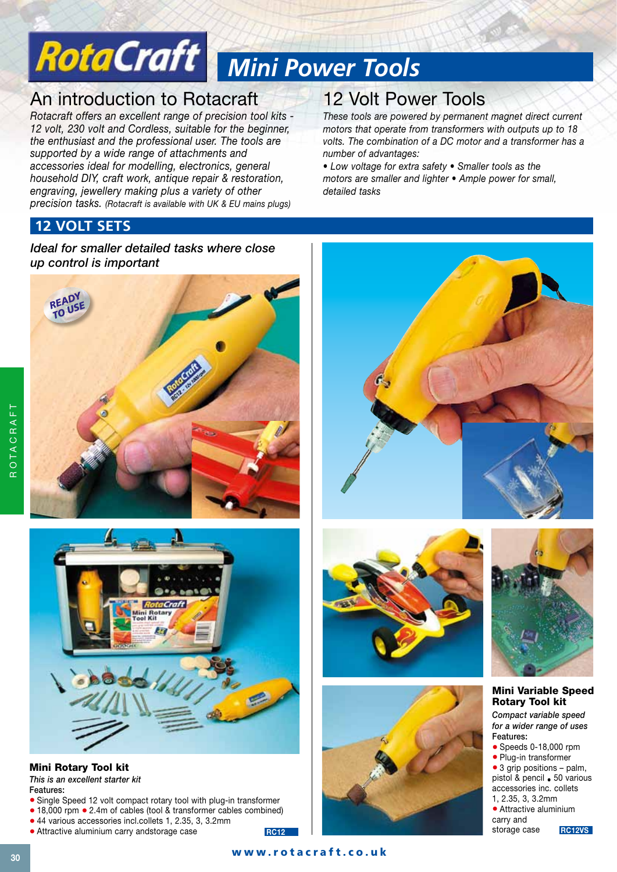# *Mini Power Tools*

# An introduction to Rotacraft

*Rotacraft offers an excellent range of precision tool kits - 12 volt, 230 volt and Cordless, suitable for the beginner, the enthusiast and the professional user. The tools are supported by a wide range of attachments and accessories ideal for modelling, electronics, general household DIY, craft work, antique repair & restoration, engraving, jewellery making plus a variety of other precision tasks. (Rotacraft is available with UK & EU mains plugs)*

# 12 Volt Power Tools

*These tools are powered by permanent magnet direct current motors that operate from transformers with outputs up to 18 volts. The combination of a DC motor and a transformer has a number of advantages:*

*• Low voltage for extra safety • Smaller tools as the motors are smaller and lighter • Ample power for small, detailed tasks*

## **12 VOLT SETS**

*Ideal for smaller detailed tasks where close up control is important*





## Mini Rotary Tool kit

*This is an excellent starter kit* Features:

- Single Speed 12 volt compact rotary tool with plug-in transformer
- 18,000 rpm 2.4m of cables (tool & transformer cables combined) • 44 various accessories incl.collets 1, 2.35, 3, 3.2mm
- Attractive aluminium carry andstorage case









#### Mini Variable Speed Rotary Tool kit

*Compact variable speed for a wider range of uses* Features: • Speeds 0-18,000 rpm

- Plug-in transformer
- 3 grip positions palm,

pistol & pencil • 50 various accessories inc. collets 1, 2.35, 3, 3.2mm

• Attractive aluminium carry and